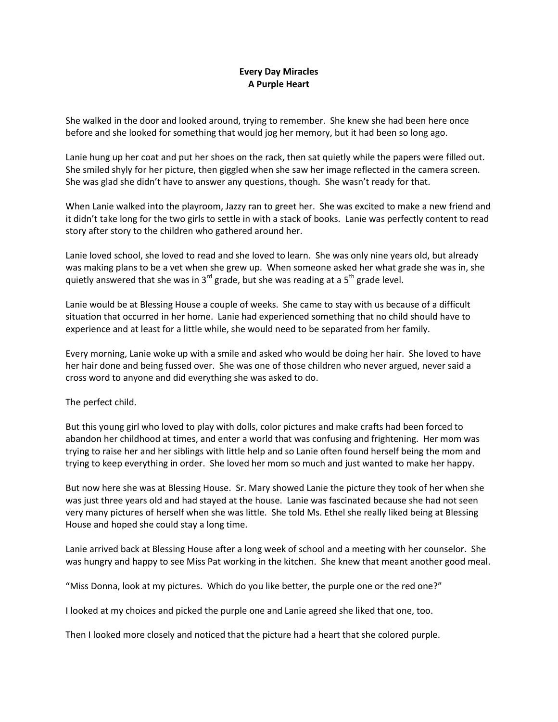## **Every Day Miracles A Purple Heart**

She walked in the door and looked around, trying to remember. She knew she had been here once before and she looked for something that would jog her memory, but it had been so long ago.

Lanie hung up her coat and put her shoes on the rack, then sat quietly while the papers were filled out. She smiled shyly for her picture, then giggled when she saw her image reflected in the camera screen. She was glad she didn't have to answer any questions, though. She wasn't ready for that.

When Lanie walked into the playroom, Jazzy ran to greet her. She was excited to make a new friend and it didn't take long for the two girls to settle in with a stack of books. Lanie was perfectly content to read story after story to the children who gathered around her.

Lanie loved school, she loved to read and she loved to learn. She was only nine years old, but already was making plans to be a vet when she grew up. When someone asked her what grade she was in, she quietly answered that she was in  $3^{rd}$  grade, but she was reading at a  $5^{th}$  grade level.

Lanie would be at Blessing House a couple of weeks. She came to stay with us because of a difficult situation that occurred in her home. Lanie had experienced something that no child should have to experience and at least for a little while, she would need to be separated from her family.

Every morning, Lanie woke up with a smile and asked who would be doing her hair. She loved to have her hair done and being fussed over. She was one of those children who never argued, never said a cross word to anyone and did everything she was asked to do.

The perfect child.

But this young girl who loved to play with dolls, color pictures and make crafts had been forced to abandon her childhood at times, and enter a world that was confusing and frightening. Her mom was trying to raise her and her siblings with little help and so Lanie often found herself being the mom and trying to keep everything in order. She loved her mom so much and just wanted to make her happy.

But now here she was at Blessing House. Sr. Mary showed Lanie the picture they took of her when she was just three years old and had stayed at the house. Lanie was fascinated because she had not seen very many pictures of herself when she was little. She told Ms. Ethel she really liked being at Blessing House and hoped she could stay a long time.

Lanie arrived back at Blessing House after a long week of school and a meeting with her counselor. She was hungry and happy to see Miss Pat working in the kitchen. She knew that meant another good meal.

"Miss Donna, look at my pictures. Which do you like better, the purple one or the red one?"

I looked at my choices and picked the purple one and Lanie agreed she liked that one, too.

Then I looked more closely and noticed that the picture had a heart that she colored purple.